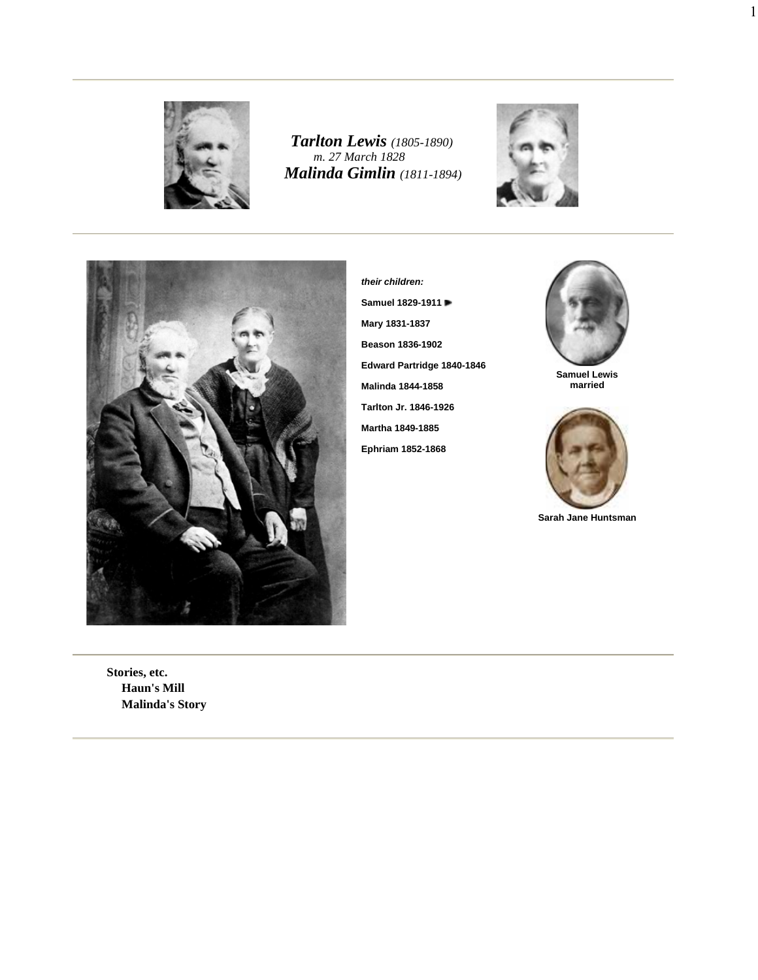

*Tarlton Lewis (1805-1890) m. 27 March 1828 Malinda Gimlin (1811-1894)*





**their children: Samuel 1829-1911 Mary 1831-1837 Beason 1836-1902 Edward Partridge 1840-1846 Malinda 1844-1858 Tarlton Jr. 1846-1926 Martha 1849-1885 Ephriam 1852-1868**



1

**Samuel Lewis married**



**Sarah Jane Huntsman**

**Stories, etc. Haun's Mill Malinda's Story**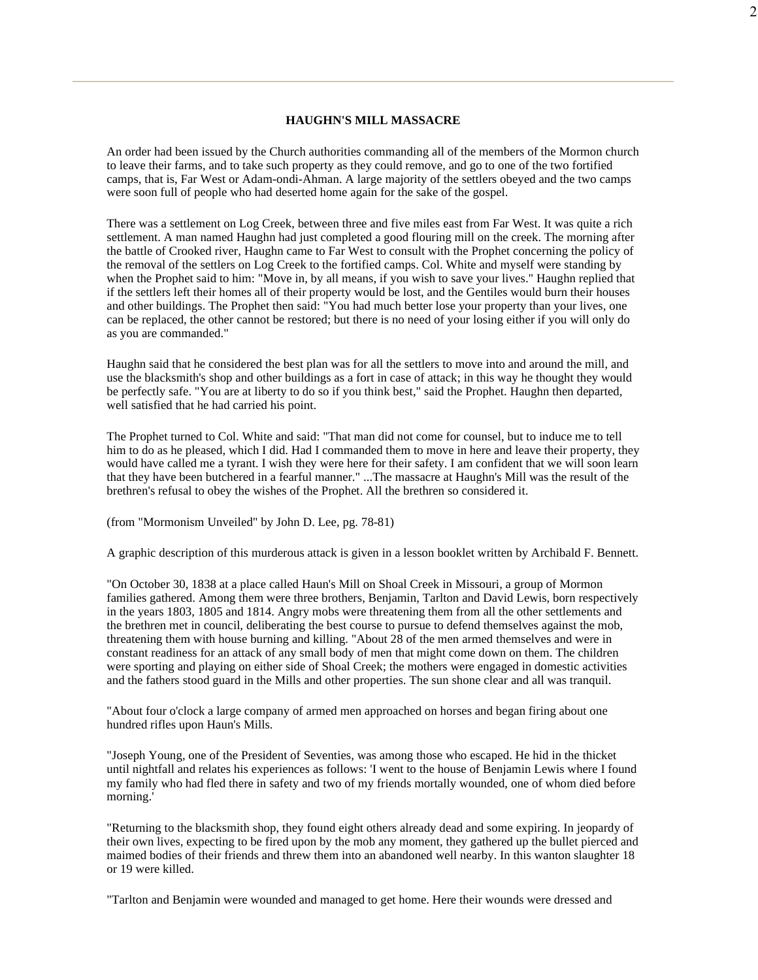## **HAUGHN'S MILL MASSACRE**

An order had been issued by the Church authorities commanding all of the members of the Mormon church to leave their farms, and to take such property as they could remove, and go to one of the two fortified camps, that is, Far West or Adam-ondi-Ahman. A large majority of the settlers obeyed and the two camps were soon full of people who had deserted home again for the sake of the gospel.

There was a settlement on Log Creek, between three and five miles east from Far West. It was quite a rich settlement. A man named Haughn had just completed a good flouring mill on the creek. The morning after the battle of Crooked river, Haughn came to Far West to consult with the Prophet concerning the policy of the removal of the settlers on Log Creek to the fortified camps. Col. White and myself were standing by when the Prophet said to him: "Move in, by all means, if you wish to save your lives." Haughn replied that if the settlers left their homes all of their property would be lost, and the Gentiles would burn their houses and other buildings. The Prophet then said: "You had much better lose your property than your lives, one can be replaced, the other cannot be restored; but there is no need of your losing either if you will only do as you are commanded."

Haughn said that he considered the best plan was for all the settlers to move into and around the mill, and use the blacksmith's shop and other buildings as a fort in case of attack; in this way he thought they would be perfectly safe. "You are at liberty to do so if you think best," said the Prophet. Haughn then departed, well satisfied that he had carried his point.

The Prophet turned to Col. White and said: "That man did not come for counsel, but to induce me to tell him to do as he pleased, which I did. Had I commanded them to move in here and leave their property, they would have called me a tyrant. I wish they were here for their safety. I am confident that we will soon learn that they have been butchered in a fearful manner." ...The massacre at Haughn's Mill was the result of the brethren's refusal to obey the wishes of the Prophet. All the brethren so considered it.

(from "Mormonism Unveiled" by John D. Lee, pg. 78-81)

A graphic description of this murderous attack is given in a lesson booklet written by Archibald F. Bennett.

"On October 30, 1838 at a place called Haun's Mill on Shoal Creek in Missouri, a group of Mormon families gathered. Among them were three brothers, Benjamin, Tarlton and David Lewis, born respectively in the years 1803, 1805 and 1814. Angry mobs were threatening them from all the other settlements and the brethren met in council, deliberating the best course to pursue to defend themselves against the mob, threatening them with house burning and killing. "About 28 of the men armed themselves and were in constant readiness for an attack of any small body of men that might come down on them. The children were sporting and playing on either side of Shoal Creek; the mothers were engaged in domestic activities and the fathers stood guard in the Mills and other properties. The sun shone clear and all was tranquil.

"About four o'clock a large company of armed men approached on horses and began firing about one hundred rifles upon Haun's Mills.

"Joseph Young, one of the President of Seventies, was among those who escaped. He hid in the thicket until nightfall and relates his experiences as follows: 'I went to the house of Benjamin Lewis where I found my family who had fled there in safety and two of my friends mortally wounded, one of whom died before morning.'

"Returning to the blacksmith shop, they found eight others already dead and some expiring. In jeopardy of their own lives, expecting to be fired upon by the mob any moment, they gathered up the bullet pierced and maimed bodies of their friends and threw them into an abandoned well nearby. In this wanton slaughter 18 or 19 were killed.

"Tarlton and Benjamin were wounded and managed to get home. Here their wounds were dressed and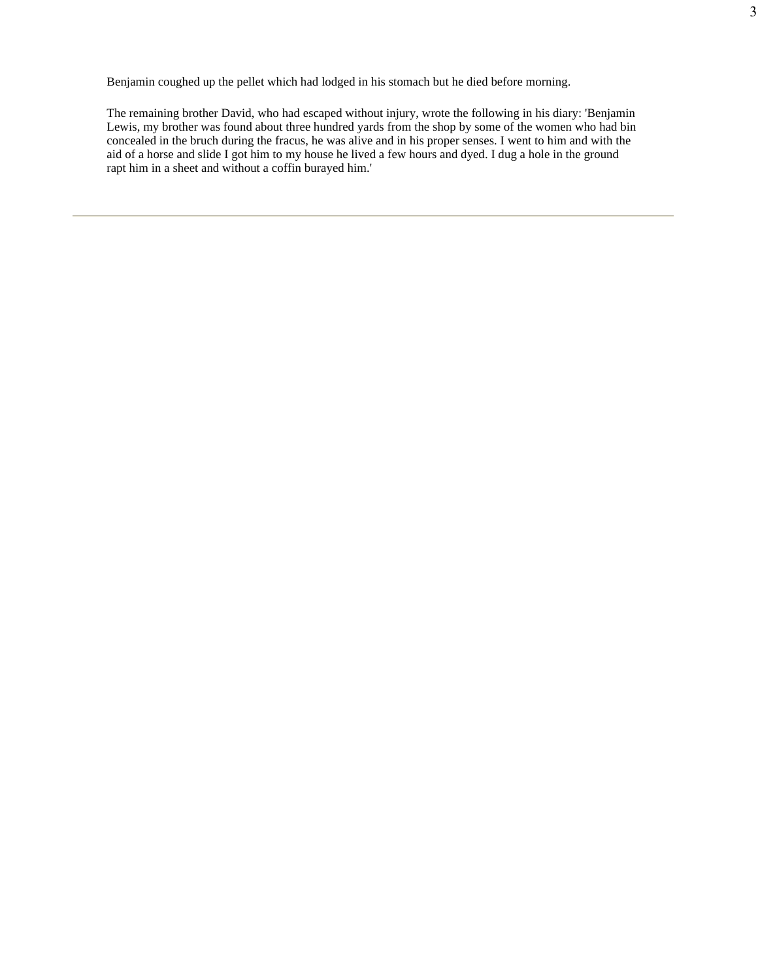Benjamin coughed up the pellet which had lodged in his stomach but he died before morning.

The remaining brother David, who had escaped without injury, wrote the following in his diary: 'Benjamin Lewis, my brother was found about three hundred yards from the shop by some of the women who had bin concealed in the bruch during the fracus, he was alive and in his proper senses. I went to him and with the aid of a horse and slide I got him to my house he lived a few hours and dyed. I dug a hole in the ground rapt him in a sheet and without a coffin burayed him.'